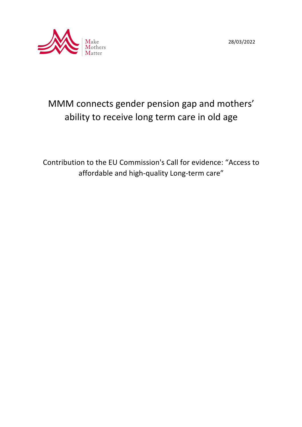



# MMM connects gender pension gap and mothers' ability to receive long term care in old age

Contribution to the EU Commission's Call for evidence: "Access to affordable and high-quality Long-term care"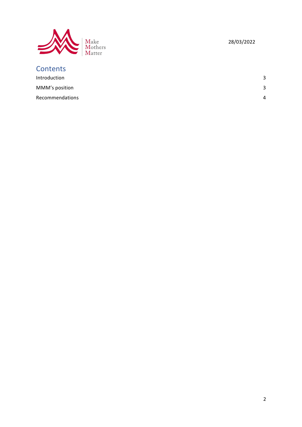

## 28/03/2022

| <b>Contents</b> |              |
|-----------------|--------------|
| Introduction    | 3            |
| MMM's position  | $\mathbf{R}$ |
| Recommendations | 4            |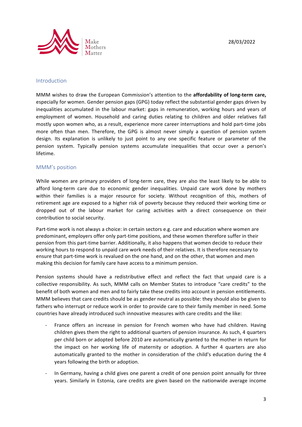

#### Introduction

MMM wishes to draw the European Commission's attention to the **affordability of long-term care,** especially for women. Gender pension gaps (GPG) today reflect the substantial gender gaps driven by inequalities accumulated in the labour market: gaps in remuneration, working hours and years of employment of women. Household and caring duties relating to children and older relatives fall mostly upon women who, as a result, experience more career interruptions and hold part-time jobs more often than men. Therefore, the GPG is almost never simply a question of pension system design. Its explanation is unlikely to just point to any one specific feature or parameter of the pension system. Typically pension systems accumulate inequalities that occur over a person's lifetime. 

#### MMM's position

While women are primary providers of long-term care, they are also the least likely to be able to afford long-term care due to economic gender inequalities. Unpaid care work done by mothers within their families is a major resource for society. Without recognition of this, mothers of retirement age are exposed to a higher risk of poverty because they reduced their working time or dropped out of the labour market for caring activities with a direct consequence on their contribution to social security.

Part-time work is not always a choice: in certain sectors e.g. care and education where women are predominant, employers offer only part-time positions, and these women therefore suffer in their pension from this part-time barrier. Additionally, it also happens that women decide to reduce their working hours to respond to unpaid care work needs of their relatives. It is therefore necessary to ensure that part-time work is revalued on the one hand, and on the other, that women and men making this decision for family care have access to a minimum pension.

Pension systems should have a redistributive effect and reflect the fact that unpaid care is a collective responsibility. As such, MMM calls on Member States to introduce "care credits" to the benefit of both women and men and to fairly take these credits into account in pension entitlements. MMM believes that care credits should be as gender neutral as possible: they should also be given to fathers who interrupt or reduce work in order to provide care to their family member in need. Some countries have already introduced such innovative measures with care credits and the like:

- France offers an increase in pension for French women who have had children. Having children gives them the right to additional quarters of pension insurance. As such, 4 quarters per child born or adopted before 2010 are automatically granted to the mother in return for the impact on her working life of maternity or adoption. A further 4 quarters are also automatically granted to the mother in consideration of the child's education during the 4 years following the birth or adoption.
- In Germany, having a child gives one parent a credit of one pension point annually for three years. Similarly in Estonia, care credits are given based on the nationwide average income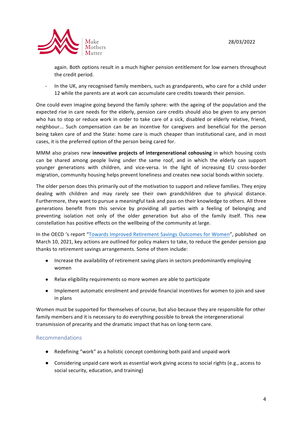

again. Both options result in a much higher pension entitlement for low earners throughout the credit period.

In the UK, any recognised family members, such as grandparents, who care for a child under 12 while the parents are at work can accumulate care credits towards their pension.

One could even imagine going beyond the family sphere: with the ageing of the population and the expected rise in care needs for the elderly, pension care credits should also be given to any person who has to stop or reduce work in order to take care of a sick, disabled or elderly relative, friend, neighbour... Such compensation can be an incentive for caregivers and beneficial for the person being taken care of and the State: home care is much cheaper than institutional care, and in most cases, it is the preferred option of the person being cared for.

MMM also praises new **innovative projects of intergenerational cohousing** in which housing costs can be shared among people living under the same roof, and in which the elderly can support younger generations with children, and vice-versa. In the light of increasing EU cross-border migration, community housing helps prevent loneliness and creates new social bonds within society.

The older person does this primarily out of the motivation to support and relieve families. They enjoy dealing with children and may rarely see their own grandchildren due to physical distance. Furthermore, they want to pursue a meaningful task and pass on their knowledge to others. All three generations benefit from this service by providing all parties with a feeling of belonging and preventing isolation not only of the older generation but also of the family itself. This new constellation has positive effects on the wellbeing of the community at large.

In the OECD 's report "Towards Improved Retirement Savings Outcomes for Women", published on March 10, 2021, key actions are outlined for policy makers to take, to reduce the gender pension gap thanks to retirement savings arrangements. Some of them include:

- Increase the availability of retirement saving plans in sectors predominantly employing women
- Relax eligibility requirements so more women are able to participate
- Implement automatic enrolment and provide financial incentives for women to join and save in plans

Women must be supported for themselves of course, but also because they are responsible for other family members and it is necessary to do everything possible to break the intergenerational transmission of precarity and the dramatic impact that has on long-term care.

### Recommendations

- Redefining "work" as a holistic concept combining both paid and unpaid work
- Considering unpaid care work as essential work giving access to social rights (e.g., access to social security, education, and training)